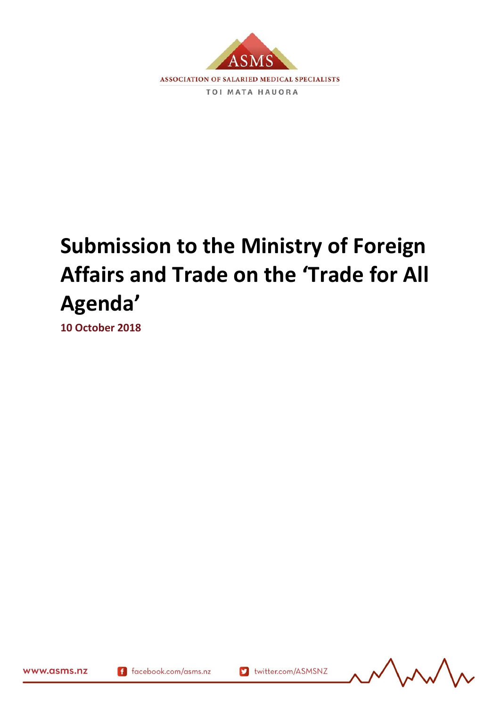

# **Submission to the Ministry of Foreign Affairs and Trade on the 'Trade for All Agenda'**

**10 October 2018**



www.asms.nz

f facebook.com/asms.nz

S twitter.com/ASMSNZ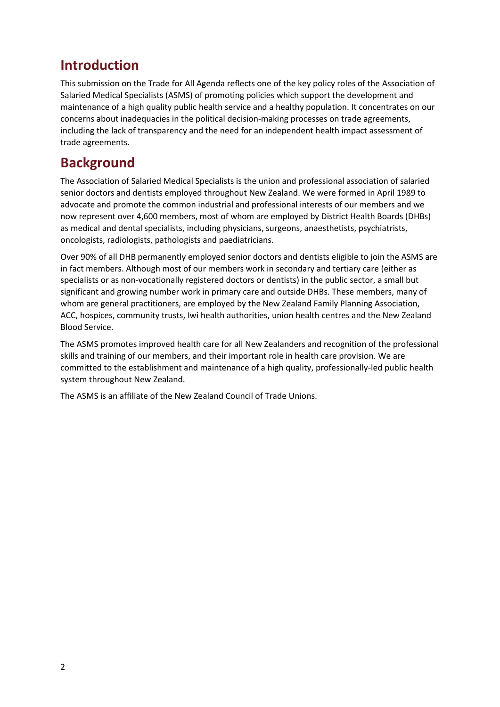## **Introduction**

This submission on the Trade for All Agenda reflects one of the key policy roles of the Association of Salaried Medical Specialists (ASMS) of promoting policies which support the development and maintenance of a high quality public health service and a healthy population. It concentrates on our concerns about inadequacies in the political decision-making processes on trade agreements, including the lack of transparency and the need for an independent health impact assessment of trade agreements.

### **Background**

The Association of Salaried Medical Specialists is the union and professional association of salaried senior doctors and dentists employed throughout New Zealand. We were formed in April 1989 to advocate and promote the common industrial and professional interests of our members and we now represent over 4,600 members, most of whom are employed by District Health Boards (DHBs) as medical and dental specialists, including physicians, surgeons, anaesthetists, psychiatrists, oncologists, radiologists, pathologists and paediatricians.

Over 90% of all DHB permanently employed senior doctors and dentists eligible to join the ASMS are in fact members. Although most of our members work in secondary and tertiary care (either as specialists or as non-vocationally registered doctors or dentists) in the public sector, a small but significant and growing number work in primary care and outside DHBs. These members, many of whom are general practitioners, are employed by the New Zealand Family Planning Association, ACC, hospices, community trusts, Iwi health authorities, union health centres and the New Zealand Blood Service.

The ASMS promotes improved health care for all New Zealanders and recognition of the professional skills and training of our members, and their important role in health care provision. We are committed to the establishment and maintenance of a high quality, professionally-led public health system throughout New Zealand.

The ASMS is an affiliate of the New Zealand Council of Trade Unions.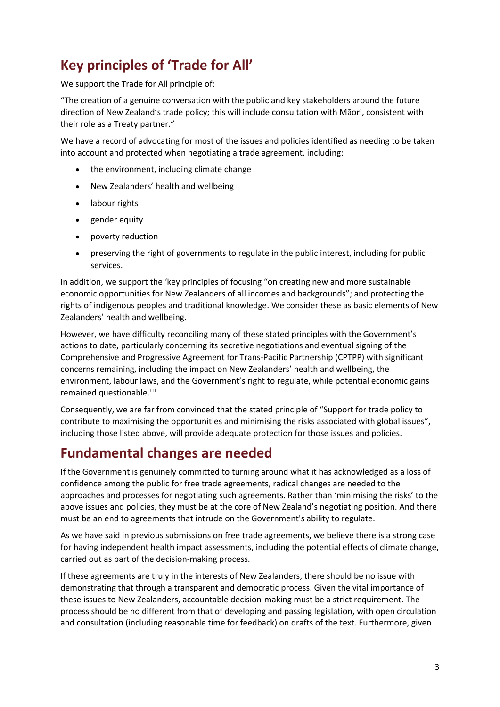# **Key principles of 'Trade for All'**

We support the Trade for All principle of:

"The creation of a genuine conversation with the public and key stakeholders around the future direction of New Zealand's trade policy; this will include consultation with Māori, consistent with their role as a Treaty partner."

We have a record of advocating for most of the issues and policies identified as needing to be taken into account and protected when negotiating a trade agreement, including:

- the environment, including climate change
- New Zealanders' health and wellbeing
- labour rights
- gender equity
- poverty reduction
- preserving the right of governments to regulate in the public interest, including for public services.

In addition, we support the 'key principles of focusing "on creating new and more sustainable economic opportunities for New Zealanders of all incomes and backgrounds"; and protecting the rights of indigenous peoples and traditional knowledge. We consider these as basic elements of New Zealanders' health and wellbeing.

However, we have difficulty reconciling many of these stated principles with the Government's actions to date, particularly concerning its secretive negotiations and eventual signing of the Comprehensive and Progressive Agreement for Trans-Pacific Partnership (CPTPP) with significant concerns remaining, including the impact on New Zealanders' health and wellbeing, the environment, labour laws, and the Government's right to regulate, while potential economic gains remained questionable.<sup>iii</sup>

Consequently, we are far from convinced that the stated principle of "Support for trade policy to contribute to maximising the opportunities and minimising the risks associated with global issues", including those listed above, will provide adequate protection for those issues and policies.

#### **Fundamental changes are needed**

If the Government is genuinely committed to turning around what it has acknowledged as a loss of confidence among the public for free trade agreements, radical changes are needed to the approaches and processes for negotiating such agreements. Rather than 'minimising the risks' to the above issues and policies, they must be at the core of New Zealand's negotiating position. And there must be an end to agreements that intrude on the Government's ability to regulate.

As we have said in previous submissions on free trade agreements, we believe there is a strong case for having independent health impact assessments, including the potential effects of climate change, carried out as part of the decision-making process.

If these agreements are truly in the interests of New Zealanders, there should be no issue with demonstrating that through a transparent and democratic process. Given the vital importance of these issues to New Zealanders, accountable decision-making must be a strict requirement. The process should be no different from that of developing and passing legislation, with open circulation and consultation (including reasonable time for feedback) on drafts of the text. Furthermore, given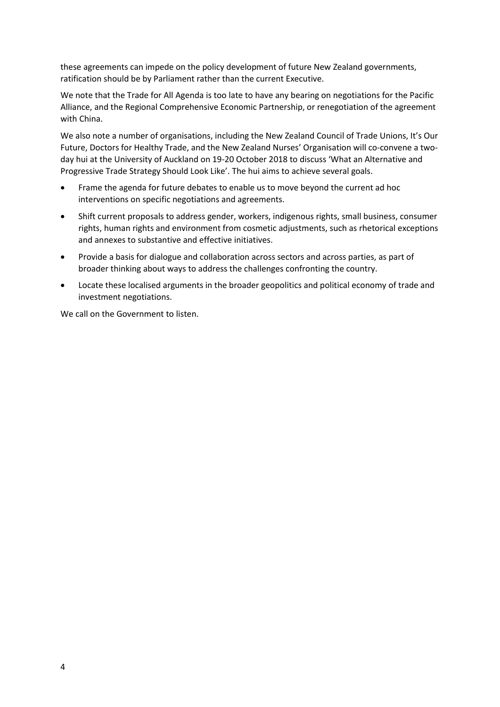these agreements can impede on the policy development of future New Zealand governments, ratification should be by Parliament rather than the current Executive.

We note that the Trade for All Agenda is too late to have any bearing on negotiations for the Pacific Alliance, and the Regional Comprehensive Economic Partnership, or renegotiation of the agreement with China.

We also note a number of organisations, including the New Zealand Council of Trade Unions, It's Our Future, Doctors for Healthy Trade, and the New Zealand Nurses' Organisation will co-convene a twoday hui at the University of Auckland on 19-20 October 2018 to discuss 'What an Alternative and Progressive Trade Strategy Should Look Like'. The hui aims to achieve several goals.

- Frame the agenda for future debates to enable us to move beyond the current ad hoc interventions on specific negotiations and agreements.
- Shift current proposals to address gender, workers, indigenous rights, small business, consumer rights, human rights and environment from cosmetic adjustments, such as rhetorical exceptions and annexes to substantive and effective initiatives.
- Provide a basis for dialogue and collaboration across sectors and across parties, as part of broader thinking about ways to address the challenges confronting the country.
- Locate these localised arguments in the broader geopolitics and political economy of trade and investment negotiations.

We call on the Government to listen.